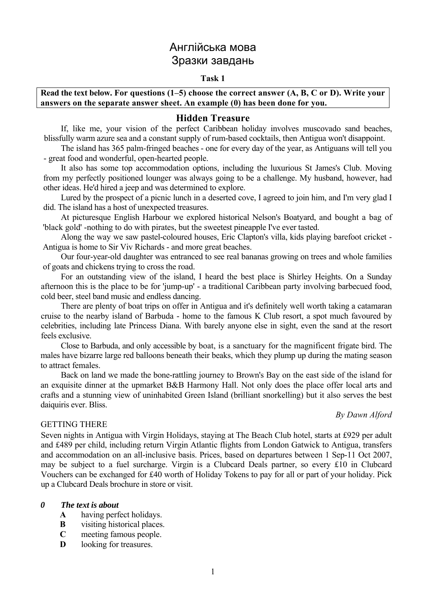# Англійська мова Зразки завдань

#### **Task 1**

### **Read the text below. For questions (1–5) choose the correct answer (A, B, C or D). Write your answers on the separate answer sheet. An example (0) has been done for you.**

#### **Hidden Treasure**

If, like me, your vision of the perfect Caribbean holiday involves muscovado sand beaches, blissfully warm azure sea and a constant supply of rum-based cocktails, then Antigua won't disappoint.

The island has 365 palm-fringed beaches - one for every day of the year, as Antiguans will tell you - great food and wonderful, open-hearted people.

It also has some top accommodation options, including the luxurious St James's Club. Moving from my perfectly positioned lounger was always going to be a challenge. My husband, however, had other ideas. He'd hired a jeep and was determined to explore.

Lured by the prospect of a picnic lunch in a deserted cove, I agreed to join him, and I'm very glad I did. The island has a host of unexpected treasures.

At picturesque English Harbour we explored historical Nelson's Boatyard, and bought a bag of 'black gold' -nothing to do with pirates, but the sweetest pineapple I've ever tasted.

Along the way we saw pastel-coloured houses, Eric Clapton's villa, kids playing barefoot cricket - Antigua is home to Sir Viv Richards - and more great beaches.

Our four-year-old daughter was entranced to see real bananas growing on trees and whole families of goats and chickens trying to cross the road.

For an outstanding view of the island, I heard the best place is Shirley Heights. On a Sunday afternoon this is the place to be for 'jump-up' - a traditional Caribbean party involving barbecued food, cold beer, steel band music and endless dancing.

There are plenty of boat trips on offer in Antigua and it's definitely well worth taking a catamaran cruise to the nearby island of Barbuda - home to the famous K Club resort, a spot much favoured by celebrities, including late Princess Diana. With barely anyone else in sight, even the sand at the resort feels exclusive.

Close to Barbuda, and only accessible by boat, is a sanctuary for the magnificent frigate bird. The males have bizarre large red balloons beneath their beaks, which they plump up during the mating season to attract females.

Back on land we made the bone-rattling journey to Brown's Bay on the east side of the island for an exquisite dinner at the upmarket B&B Harmony Hall. Not only does the place offer local arts and crafts and a stunning view of uninhabited Green Island (brilliant snorkelling) but it also serves the best daiquiris ever. Bliss.

#### GETTING THERE

#### *By Dawn Alford*

Seven nights in Antigua with Virgin Holidays, staying at The Beach Club hotel, starts at £929 per adult and £489 per child, including return Virgin Atlantic flights from London Gatwick to Antigua, transfers and accommodation on an all-inclusive basis. Prices, based on departures between 1 Sep-11 Oct 2007, may be subject to a fuel surcharge. Virgin is a Clubcard Deals partner, so every £10 in Clubcard Vouchers can be exchanged for £40 worth of Holiday Tokens to pay for all or part of your holiday. Pick up a Clubcard Deals brochure in store or visit.

#### *0 The text is about*

- **A** having perfect holidays.
- **B** visiting historical places.
- **C** meeting famous people.
- **D** looking for treasures.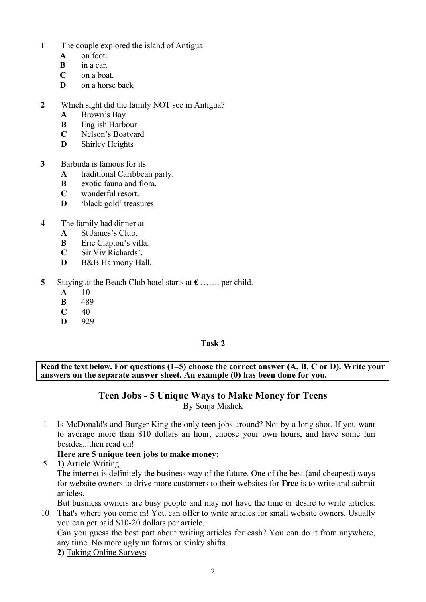- **1** The couple explored the island of Antigua
	- **A** on foot.
	- **B** in a car.
	- **C** on a boat.
	- **D** on a horse back

## **2** Which sight did the family NOT see in Antigua?

- **A** Brown's Bay
- **B** English Harbour
- **C** Nelson's Boatyard
- **D** Shirley Heights
- **3** Barbuda is famous for its
	- **A** traditional Caribbean party.
	- **B** exotic fauna and flora.
	- **C** wonderful resort.
	- **D** 'black gold' treasures.
- **4** The family had dinner at
	- **A** St James's Club.
	- **B** Eric Clapton's villa.
	- **C** Sir Viv Richards'.
	- **D** B&B Harmony Hall
- **5** Staying at the Beach Club hotel starts at £ ……. per child.
	- **A** 10
	- **B** 489
	- $C = 40$
	- **D** 929

## **Task 2**

**Read the text below. For questions (1–5) choose the correct answer (A, B, C or D). Write your answers on the separate answer sheet. An example (0) has been done for you.** 

### **Teen Jobs - 5 Unique Ways to Make Money for Teens** By Sonja Mishek

1 Is McDonald's and Burger King the only teen jobs around? Not by a long shot. If you want to average more than \$10 dollars an hour, choose your own hours, and have some fun besides...then read on!

# **Here are 5 unique teen jobs to make money:**

5 **1)** Article Writing

The internet is definitely the business way of the future. One of the best (and cheapest) ways for website owners to drive more customers to their websites for **Free** is to write and submit articles.

But business owners are busy people and may not have the time or desire to write articles.

10 That's where you come in! You can offer to write articles for small website owners. Usually you can get paid \$10-20 dollars per article.

Can you guess the best part about writing articles for cash? You can do it from anywhere, any time. No more ugly uniforms or stinky shifts.

**2)** Taking Online Surveys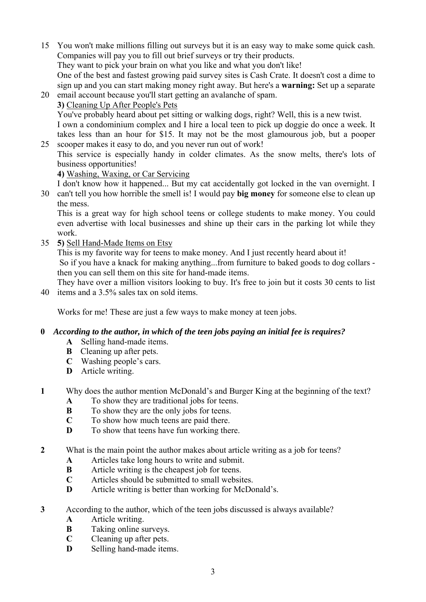- 15 You won't make millions filling out surveys but it is an easy way to make some quick cash. Companies will pay you to fill out brief surveys or try their products. They want to pick your brain on what you like and what you don't like! One of the best and fastest growing paid survey sites is Cash Crate. It doesn't cost a dime to sign up and you can start making money right away. But here's a **warning:** Set up a separate
- 20 email account because you'll start getting an avalanche of spam. **3)** Cleaning Up After People's Pets You've probably heard about pet sitting or walking dogs, right? Well, this is a new twist. I own a condominium complex and I hire a local teen to pick up doggie do once a week. It takes less than an hour for \$15. It may not be the most glamourous job, but a pooper

25 scooper makes it easy to do, and you never run out of work! This service is especially handy in colder climates. As the snow melts, there's lots of business opportunities!

## **4)** Washing, Waxing, or Car Servicing

I don't know how it happened... But my cat accidentally got locked in the van overnight. I

30 can't tell you how horrible the smell is! I would pay **big money** for someone else to clean up the mess.

This is a great way for high school teens or college students to make money. You could even advertise with local businesses and shine up their cars in the parking lot while they work.

35 **5)** Sell Hand-Made Items on Etsy

This is my favorite way for teens to make money. And I just recently heard about it! So if you have a knack for making anything...from furniture to baked goods to dog collars then you can sell them on this site for hand-made items.

40 items and a 3.5% sales tax on sold items. They have over a million visitors looking to buy. It's free to join but it costs 30 cents to list

Works for me! These are just a few ways to make money at teen jobs.

## **0** *According to the author, in which of the teen jobs paying an initial fee is requires?*

- **A** Selling hand-made items.
- **B** Cleaning up after pets.
- **C** Washing people's cars.
- **D** Article writing.
- **1** Why does the author mention McDonald's and Burger King at the beginning of the text?
	- **A** To show they are traditional jobs for teens.
	- **B** To show they are the only jobs for teens.
	- **C** To show how much teens are paid there.
	- **D** To show that teens have fun working there.
- **2** What is the main point the author makes about article writing as a job for teens?
	- **A** Articles take long hours to write and submit.
	- **B** Article writing is the cheapest job for teens.
	- **C** Articles should be submitted to small websites.
	- **D** Article writing is better than working for McDonald's.
- **3** According to the author, which of the teen jobs discussed is always available?
	- **A** Article writing.
	- **B** Taking online surveys.
	- **C** Cleaning up after pets.
	- **D** Selling hand-made items.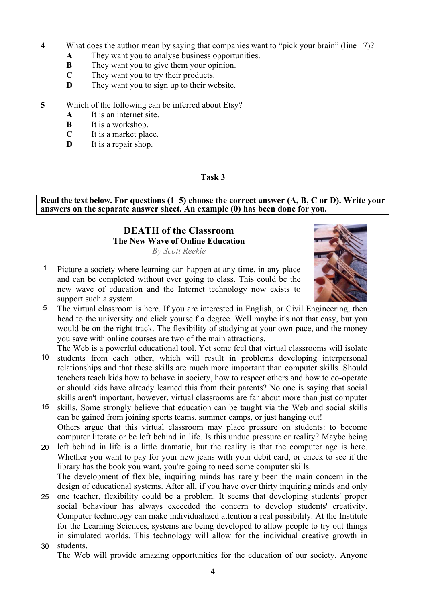- **4** What does the author mean by saying that companies want to "pick your brain" (line 17)?
	- **A** They want you to analyse business opportunities.
	- **B** They want you to give them your opinion.
	- **C** They want you to try their products.
	- **D** They want you to sign up to their website.
- **5** Which of the following can be inferred about Etsy?
	- **A** It is an internet site.
	- **B** It is a workshop.
	- **C** It is a market place.
	- **D** It is a repair shop.

**Read the text below. For questions (1–5) choose the correct answer (A, B, C or D). Write your answers on the separate answer sheet. An example (0) has been done for you.** 

# **DEATH of the Classroom The New Wave of Online Education**

*By Scott Reekie*



- 1 Picture a society where learning can happen at any time, in any place and can be completed without ever going to class. This could be the new wave of education and the Internet technology now exists to support such a system.
- 5 The virtual classroom is here. If you are interested in English, or Civil Engineering, then head to the university and click yourself a degree. Well maybe it's not that easy, but you would be on the right track. The flexibility of studying at your own pace, and the money you save with online courses are two of the main attractions.
- 10 The Web is a powerful educational tool. Yet some feel that virtual classrooms will isolate students from each other, which will result in problems developing interpersonal relationships and that these skills are much more important than computer skills. Should teachers teach kids how to behave in society, how to respect others and how to co-operate or should kids have already learned this from their parents? No one is saying that social skills aren't important, however, virtual classrooms are far about more than just computer
- 15 skills. Some strongly believe that education can be taught via the Web and social skills can be gained from joining sports teams, summer camps, or just hanging out! Others argue that this virtual classroom may place pressure on students: to become computer literate or be left behind in life. Is this undue pressure or reality? Maybe being
- 20 left behind in life is a little dramatic, but the reality is that the computer age is here. Whether you want to pay for your new jeans with your debit card, or check to see if the library has the book you want, you're going to need some computer skills. The development of flexible, inquiring minds has rarely been the main concern in the design of educational systems. After all, if you have over thirty inquiring minds and only
- 25 one teacher, flexibility could be a problem. It seems that developing students' proper 30 students. social behaviour has always exceeded the concern to develop students' creativity. Computer technology can make individualized attention a real possibility. At the Institute for the Learning Sciences, systems are being developed to allow people to try out things in simulated worlds. This technology will allow for the individual creative growth in
	- The Web will provide amazing opportunities for the education of our society. Anyone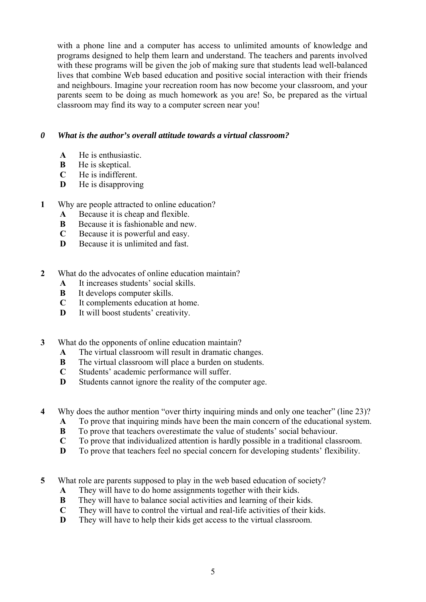with a phone line and a computer has access to unlimited amounts of knowledge and programs designed to help them learn and understand. The teachers and parents involved with these programs will be given the job of making sure that students lead well-balanced lives that combine Web based education and positive social interaction with their friends and neighbours. Imagine your recreation room has now become your classroom, and your parents seem to be doing as much homework as you are! So, be prepared as the virtual classroom may find its way to a computer screen near you!

## *0 What is the author's overall attitude towards a virtual classroom?*

- **A** He is enthusiastic.
- **B** He is skeptical.
- **C** He is indifferent.
- **D** He is disapproving
- **1** Why are people attracted to online education?
	- **A** Because it is cheap and flexible.
	- **B** Because it is fashionable and new.
	- **C** Because it is powerful and easy.
	- **D** Because it is unlimited and fast.
- **2** What do the advocates of online education maintain?
	- **A** It increases students' social skills.
	- **B** It develops computer skills.
	- **C** It complements education at home.
	- **D** It will boost students' creativity.
- **3** What do the opponents of online education maintain?
	- **A** The virtual classroom will result in dramatic changes.
	- **B** The virtual classroom will place a burden on students.
	- **C** Students' academic performance will suffer.
	- **D** Students cannot ignore the reality of the computer age.
- **4** Why does the author mention "over thirty inquiring minds and only one teacher" (line 23)?
	- **A** To prove that inquiring minds have been the main concern of the educational system.
	- **B** To prove that teachers overestimate the value of students' social behaviour.
	- **C** To prove that individualized attention is hardly possible in a traditional classroom.
	- **D** To prove that teachers feel no special concern for developing students' flexibility.
- **5** What role are parents supposed to play in the web based education of society?
	- **A** They will have to do home assignments together with their kids.
	- **B** They will have to balance social activities and learning of their kids.
	- **C** They will have to control the virtual and real-life activities of their kids.
	- **D** They will have to help their kids get access to the virtual classroom.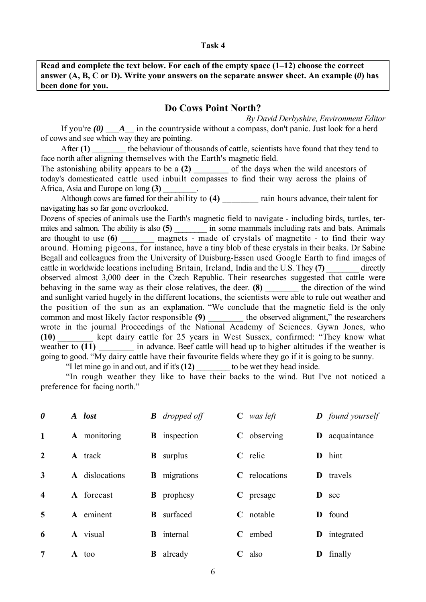**Read and complete the text below. For each of the empty space (1–12) choose the correct answer (A, B, C or D). Write your answers on the separate answer sheet. An example (***0***) has been done for you.**

## **Do Cows Point North?**

*By David Derbyshire, Environment Editor* If you're  $(0)$   $\Delta$  in the countryside without a compass, don't panic. Just look for a herd of cows and see which way they are pointing.

After (1) the behaviour of thousands of cattle, scientists have found that they tend to face north after aligning themselves with the Earth's magnetic field.<br>The astonishing ability appears to be a (2) of the davs when the wild ancestors of

The astonishing ability appears to be a (2) today's domesticated cattle used inbuilt compasses to find their way across the plains of Africa, Asia and Europe on long **(3)** \_\_\_\_\_\_\_\_.

Although cows are famed for their ability to (4) rain hours advance, their talent for navigating has so far gone overlooked.

Dozens of species of animals use the Earth's magnetic field to navigate - including birds, turtles, termites and salmon. The ability is also **(5)** \_\_\_\_\_\_\_\_ in some mammals including rats and bats. Animals are thought to use  $(6)$  magnets - made of crystals of magnetite - to find their way around. Homing pigeons, for instance, have a tiny blob of these crystals in their beaks. Dr Sabine Begall and colleagues from the University of Duisburg-Essen used Google Earth to find images of cattle in worldwide locations including Britain, Ireland, India and the U.S. They (7) directly observed almost 3,000 deer in the Czech Republic. Their researches suggested that cattle were behaving in the same way as their close relatives, the deer. **(8)** the direction of the wind and sunlight varied hugely in the different locations, the scientists were able to rule out weather and the position of the sun as an explanation. "We conclude that the magnetic field is the only common and most likely factor responsible (9) the observed alignment," the researchers wrote in the journal Proceedings of the National Academy of Sciences. Gywn Jones, who **(10)** \_\_\_\_\_\_\_\_ kept dairy cattle for 25 years in West Sussex, confirmed: "They know what weather to (11)  $\qquad \qquad$  in advance. Beef cattle will head up to higher altitudes if the weather is going to good. "My dairy cattle have their favourite fields where they go if it is going to be sunny.

"I let mine go in and out, and if it's **(12)** \_\_\_\_\_\_\_\_ to be wet they head inside.

"In rough weather they like to have their backs to the wind. But I've not noticed a preference for facing north."

| $\boldsymbol{\theta}$   | A lost         |   | <b>B</b> dropped off |             | $C$ was left  |   | <b>D</b> found yourself |
|-------------------------|----------------|---|----------------------|-------------|---------------|---|-------------------------|
| 1                       | A monitoring   |   | <b>B</b> inspection  |             | $C$ observing |   | <b>D</b> acquaintance   |
| $\overline{2}$          | A track        |   | <b>B</b> surplus     |             | $C$ relic     | D | hint                    |
| 3                       | A dislocations |   | <b>B</b> migrations  |             | C relocations | D | travels                 |
| $\overline{\mathbf{4}}$ | A forecast     |   | <b>B</b> prophesy    |             | $C$ presage   | D | see                     |
| 5                       | A eminent      | B | surfaced             |             | $C$ notable   | D | found                   |
| 6                       | A visual       |   | <b>B</b> internal    | $\mathbf C$ | embed         | D | integrated              |
| 7                       | A too          | B | already              | $\mathbf C$ | also          | D | finally                 |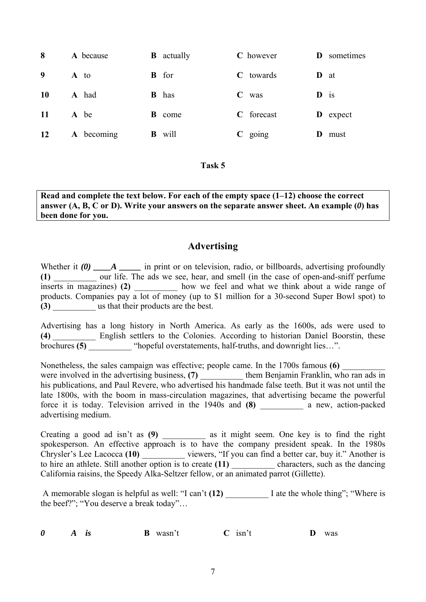| 8         | A because  | B | actually     |             | C however   | D               | sometimes       |
|-----------|------------|---|--------------|-------------|-------------|-----------------|-----------------|
| 9         | A to       | B | for          |             | $C$ towards | <b>D</b> at     |                 |
| <b>10</b> | A had      |   | <b>B</b> has | $\mathbf C$ | was         | $\mathbf{D}$ is |                 |
| <b>11</b> | A be       | B | come         |             | C forecast  |                 | <b>D</b> expect |
| <b>12</b> | A becoming | B | will         |             | $C$ going   | D               | must            |

**Read and complete the text below. For each of the empty space (1–12) choose the correct answer (A, B, C or D). Write your answers on the separate answer sheet. An example (***0***) has been done for you.** 

# **Advertising**

Whether it (0) \_\_\_\_A \_\_\_\_\_\_ in print or on television, radio, or billboards, advertising profoundly (1) <u>\_\_\_\_\_\_\_</u> our life. The ads we see, hear, and smell (in the case of open-and-sniff perfume inserts in magazines) **(2)** \_\_\_\_\_\_\_\_\_\_ how we feel and what we think about a wide range of products. Companies pay a lot of money (up to \$1 million for a 30-second Super Bowl spot) to **(3)** \_\_\_\_\_\_\_\_\_\_ us that their products are the best.

Advertising has a long history in North America. As early as the 1600s, ads were used to **(4)** \_\_\_\_\_\_\_\_\_\_ English settlers to the Colonies. According to historian Daniel Boorstin, these brochures **(5)** <sup>"</sup>hopeful overstatements, half-truths, and downright lies...".

Nonetheless, the sales campaign was effective; people came. In the 1700s famous **(6)** were involved in the advertising business, (7) them Benjamin Franklin, who ran ads in his publications, and Paul Revere, who advertised his handmade false teeth. But it was not until the late 1800s, with the boom in mass-circulation magazines, that advertising became the powerful force it is today. Television arrived in the 1940s and **(8)** \_\_\_\_\_\_\_\_\_\_ a new, action-packed advertising medium.

Creating a good ad isn't as **(9)** \_\_\_\_\_\_\_\_\_\_ as it might seem. One key is to find the right spokesperson. An effective approach is to have the company president speak. In the 1980s Chrysler's Lee Lacocca **(10)** \_\_\_\_\_\_\_\_\_\_ viewers, "If you can find a better car, buy it." Another is to hire an athlete. Still another option is to create (11) characters, such as the dancing California raisins, the Speedy Alka-Seltzer fellow, or an animated parrot (Gillette).

A memorable slogan is helpful as well: "I can't (12) I ate the whole thing"; "Where is the beef?"; "You deserve a break today"…

| 0 |  | <b>B</b> wasn't | $C$ isn't |  | was |
|---|--|-----------------|-----------|--|-----|
|---|--|-----------------|-----------|--|-----|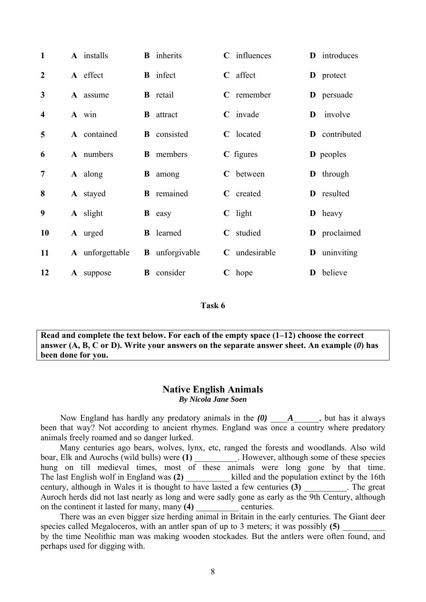| $\mathbf{1}$            | A installs       | <b>B</b> inherits     |             | C influences |   | <b>D</b> introduces |
|-------------------------|------------------|-----------------------|-------------|--------------|---|---------------------|
| $\overline{2}$          | A effect         | <b>B</b> infect       |             | $C$ affect   |   | <b>D</b> protect    |
| 3                       | A assume         | <b>B</b> retail       |             | $C$ remember |   | <b>D</b> persuade   |
| $\overline{\mathbf{4}}$ | A win            | <b>B</b> attract      |             | $C$ invade   | D | involve             |
| 5                       | A contained      | <b>B</b> consisted    |             | C located    |   | D contributed       |
| 6                       | A numbers        | <b>B</b> members      |             | $C$ figures  |   | <b>D</b> peoples    |
| 7                       | <b>A</b> along   | <b>B</b> among        |             | C between    |   | <b>D</b> through    |
| 8                       | <b>A</b> stayed  | <b>B</b> remained     |             | C created    |   | D resulted          |
| 9                       | A slight         | <b>B</b> easy         |             | $C$ light    |   | $\mathbf{D}$ heavy  |
| <b>10</b>               | A urged          | <b>B</b> learned      | $\mathbf C$ | studied      |   | D proclaimed        |
| 11                      | A unforgettable  | <b>B</b> unforgivable | $\mathbf C$ | undesirable  | D | uninviting          |
| 12                      | <b>A</b> suppose | <b>B</b> consider     |             | $C$ hope     | D | believe             |

**Read and complete the text below. For each of the empty space (1–12) choose the correct answer (A, B, C or D). Write your answers on the separate answer sheet. An example (***0***) has been done for you.** 

#### **Native English Animals**  *By Nicola Jane Soen*

Now England has hardly any predatory animals in the  $(0)$   $A$ , but has it always been that way? Not according to ancient rhymes. England was once a country where predatory animals freely roamed and so danger lurked.

 Many centuries ago bears, wolves, lynx, etc, ranged the forests and woodlands. Also wild boar, Elk and Aurochs (wild bulls) were (1) Flowever, although some of these species hung on till medieval times, most of these animals were long gone by that time. The last English wolf in England was (2) \_\_\_\_\_\_ century, although in Wales it is thought to have lasted a few centuries **(3)** The great Auroch herds did not last nearly as long and were sadly gone as early as the 9th Century, although on the continent it lasted for many, many (4) centuries.

 There was an even bigger size herding animal in Britain in the early centuries. The Giant deer species called Megaloceros, with an antler span of up to 3 meters; it was possibly (5) by the time Neolithic man was making wooden stockades. But the antlers were often found, and perhaps used for digging with.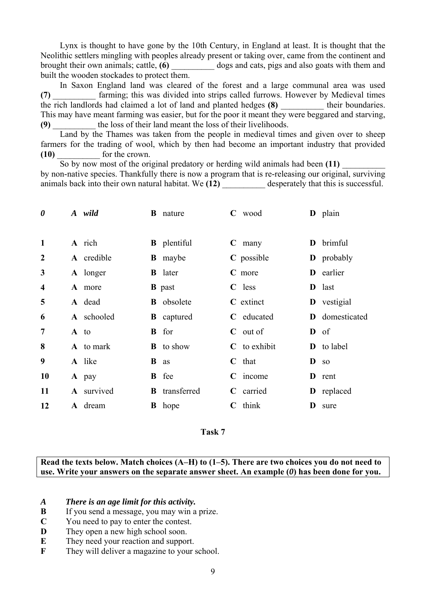Lynx is thought to have gone by the 10th Century, in England at least. It is thought that the Neolithic settlers mingling with peoples already present or taking over, came from the continent and brought their own animals; cattle, **(6)** \_\_\_\_\_\_\_\_\_\_ dogs and cats, pigs and also goats with them and built the wooden stockades to protect them.

 In Saxon England land was cleared of the forest and a large communal area was used (7) **Example 6** farming; this was divided into strips called furrows. However by Medieval times the rich landlords had claimed a lot of land and planted hedges (8) their boundaries. This may have meant farming was easier, but for the poor it meant they were beggared and starving, **(9)** \_\_\_\_\_\_\_\_\_\_ the loss of their land meant the loss of their livelihoods.

 Land by the Thames was taken from the people in medieval times and given over to sheep farmers for the trading of wool, which by then had become an important industry that provided **(10)** \_\_\_\_\_\_\_\_\_\_ for the crown.

 So by now most of the original predatory or herding wild animals had been **(11)** \_\_\_\_\_\_\_\_\_\_ by non-native species. Thankfully there is now a program that is re-releasing our original, surviving animals back into their own natural habitat. We (12) desperately that this is successful.

| $\boldsymbol{\theta}$   | A wild     |          | <b>B</b> nature      |   | $C$ wood         |   | D plain            |
|-------------------------|------------|----------|----------------------|---|------------------|---|--------------------|
| $\mathbf{1}$            | A rich     |          | <b>B</b> plentiful   |   | $C$ many         | D | brimful            |
| $\boldsymbol{2}$        | A credible |          | <b>B</b> maybe       |   | C possible       |   | <b>D</b> probably  |
| 3                       | A longer   |          | <b>B</b> later       |   | C more           |   | D earlier          |
| $\overline{\mathbf{4}}$ | A more     |          | <b>B</b> past        |   | $C$ less         |   | D last             |
| 5                       | A dead     |          | <b>B</b> obsolete    |   | C extinct        |   | <b>D</b> vestigial |
| 6                       | A schooled |          | <b>B</b> captured    |   | C educated       |   | D domesticated     |
| $\overline{7}$          | A to       |          | <b>B</b> for         |   | $C$ out of       |   | $\mathbf{D}$ of    |
| 8                       | A to mark  |          | <b>B</b> to show     |   | $C$ to exhibit   |   | <b>D</b> to label  |
| 9                       | A like     | $\bf{B}$ | as                   |   | $\mathbf C$ that | D | <b>SO</b>          |
| 10                      | A pay      |          | <b>B</b> fee         | C | income           |   | <b>D</b> rent      |
| 11                      | A survived |          | <b>B</b> transferred |   | C carried        |   | D replaced         |
| 12                      | A dream    |          | <b>B</b> hope        |   | $C$ think        | D | sure               |



**Read the texts below. Match choices (A–H) to (1–5). There are two choices you do not need to use. Write your answers on the separate answer sheet. An example (***0***) has been done for you.**

- *A There is an age limit for this activity.*
- **B** If you send a message, you may win a prize.
- **C** You need to pay to enter the contest.
- **D** They open a new high school soon.
- **E** They need your reaction and support.
- **F** They will deliver a magazine to your school.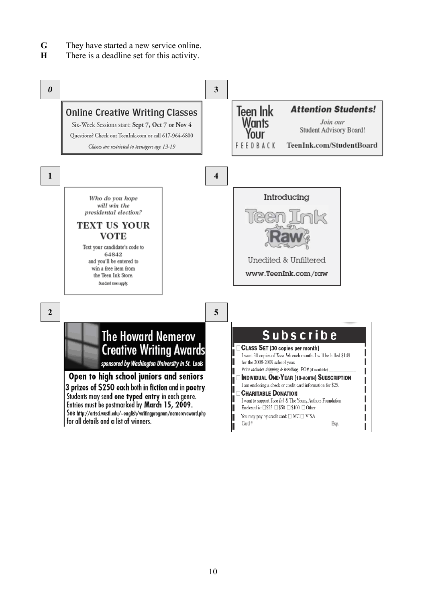- **G** They have started a new service online.
- **H** There is a deadline set for this activity.

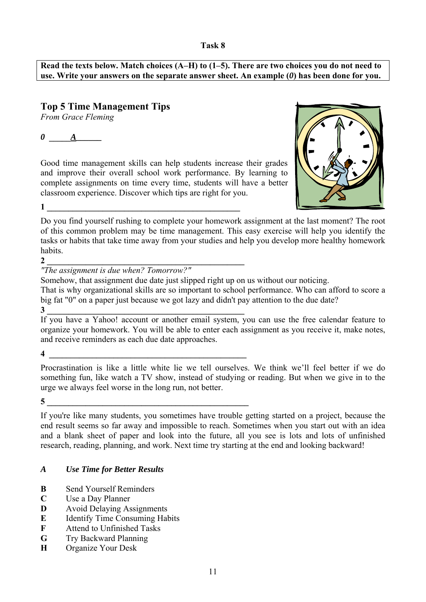**Read the texts below. Match choices (A–H) to (1–5). There are two choices you do not need to use. Write your answers on the separate answer sheet. An example (***0***) has been done for you.** 

# **Top 5 Time Management Tips**

*From Grace Fleming* 

*0* **\_\_\_\_\_***A\_\_\_\_\_\_* 

Good time management skills can help students increase their grades and improve their overall school work performance. By learning to complete assignments on time every time, students will have a better classroom experience. Discover which tips are right for you.



Do you find yourself rushing to complete your homework assignment at the last moment? The root of this common problem may be time management. This easy exercise will help you identify the tasks or habits that take time away from your studies and help you develop more healthy homework habits.

# **2 \_\_\_\_\_\_\_\_\_\_\_\_\_\_\_\_\_\_\_\_\_\_\_\_\_\_\_\_\_\_\_\_\_\_\_\_\_\_\_\_\_\_\_\_\_\_**

 $1 \qquad \qquad$ 

*"The assignment is due when? Tomorrow?"*

Somehow, that assignment due date just slipped right up on us without our noticing.

That is why organizational skills are so important to school performance. Who can afford to score a big fat "0" on a paper just because we got lazy and didn't pay attention to the due date?

**3 \_\_\_\_\_\_\_\_\_\_\_\_\_\_\_\_\_\_\_\_\_\_\_\_\_\_\_\_\_\_\_\_\_\_\_\_\_\_\_\_\_\_\_\_\_\_** 

If you have a Yahoo! account or another email system, you can use the free calendar feature to organize your homework. You will be able to enter each assignment as you receive it, make notes, and receive reminders as each due date approaches.

**4 \_\_\_\_\_\_\_\_\_\_\_\_\_\_\_\_\_\_\_\_\_\_\_\_\_\_\_\_\_\_\_\_\_\_\_\_\_\_\_\_\_\_\_\_\_\_**

Procrastination is like a little white lie we tell ourselves. We think we'll feel better if we do something fun, like watch a TV show, instead of studying or reading. But when we give in to the urge we always feel worse in the long run, not better.

 $\overline{\mathbf{5}}$ 

If you're like many students, you sometimes have trouble getting started on a project, because the end result seems so far away and impossible to reach. Sometimes when you start out with an idea and a blank sheet of paper and look into the future, all you see is lots and lots of unfinished research, reading, planning, and work. Next time try starting at the end and looking backward!

# *A Use Time for Better Results*

- **B** Send Yourself Reminders
- **C** Use a Day Planner
- **D** Avoid Delaying Assignments
- **E** Identify Time Consuming Habits
- **F** Attend to Unfinished Tasks
- **G** Try Backward Planning
- **H** Organize Your Desk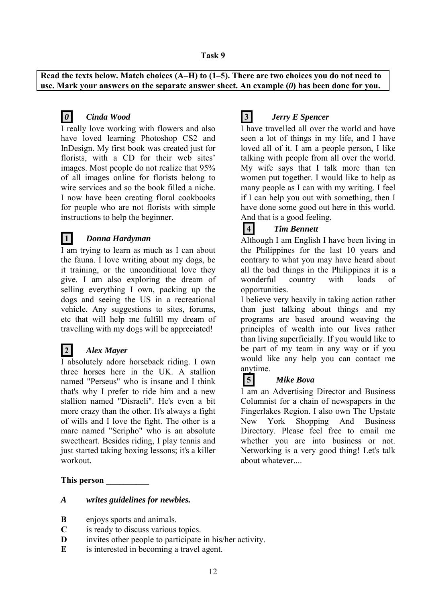**Read the texts below. Match choices (A–H) to (1–5). There are two choices you do not need to use. Mark your answers on the separate answer sheet. An example (***0***) has been done for you.**



# *0 Cinda Wood*

I really love working with flowers and also have loved learning Photoshop CS2 and InDesign. My first book was created just for florists, with a CD for their web sites' images. Most people do not realize that 95% of all images online for florists belong to wire services and so the book filled a niche. I now have been creating floral cookbooks for people who are not florists with simple instructions to help the beginner.

## **1** *Donna Hardyman*

I am trying to learn as much as I can about the fauna. I love writing about my dogs, be it training, or the unconditional love they give. I am also exploring the dream of selling everything I own, packing up the dogs and seeing the US in a recreational vehicle. Any suggestions to sites, forums, etc that will help me fulfill my dream of travelling with my dogs will be appreciated!

# **2** *Alex Mayer*

I absolutely adore horseback riding. I own three horses here in the UK. A stallion named "Perseus" who is insane and I think that's why I prefer to ride him and a new stallion named "Disraeli". He's even a bit more crazy than the other. It's always a fight of wills and I love the fight. The other is a mare named "Seripho" who is an absolute sweetheart. Besides riding, I play tennis and just started taking boxing lessons; it's a killer workout.

#### **This person \_\_\_\_\_\_\_\_\_\_**

#### *A writes guidelines for newbies.*

- **B** enjoys sports and animals.
- **C** is ready to discuss various topics.
- **D** invites other people to participate in his/her activity.
- **E** is interested in becoming a travel agent.

# **3** *Jerry E Spencer*

I have travelled all over the world and have seen a lot of things in my life, and I have loved all of it. I am a people person, I like talking with people from all over the world. My wife says that I talk more than ten women put together. I would like to help as many people as I can with my writing. I feel if I can help you out with something, then I have done some good out here in this world. And that is a good feeling.

# **4** *Tim Bennett*

Although I am English I have been living in the Philippines for the last 10 years and contrary to what you may have heard about all the bad things in the Philippines it is a wonderful country with loads of opportunities.

I believe very heavily in taking action rather than just talking about things and my programs are based around weaving the principles of wealth into our lives rather than living superficially. If you would like to be part of my team in any way or if you would like any help you can contact me anytime.

## **5** *Mike Bova*

I am an Advertising Director and Business Columnist for a chain of newspapers in the Fingerlakes Region. I also own The Upstate New York Shopping And Business Directory. Please feel free to email me whether you are into business or not. Networking is a very good thing! Let's talk about whatever.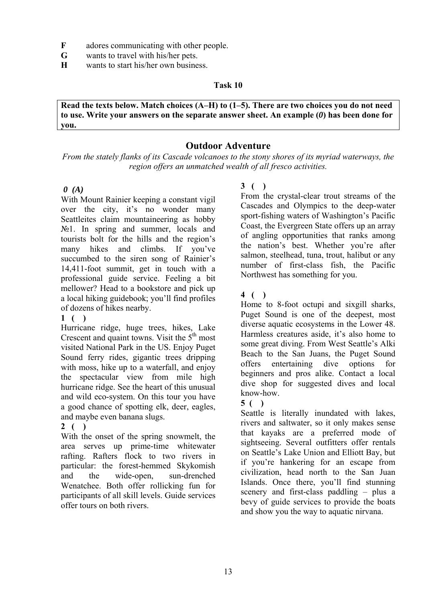- **F** adores communicating with other people.
- **G** wants to travel with his/her pets.
- **H** wants to start his/her own business.

**Read the texts below. Match choices (A–H) to (1–5). There are two choices you do not need to use. Write your answers on the separate answer sheet. An example (***0***) has been done for you.**

# **Outdoor Adventure**

*From the stately flanks of its Cascade volcanoes to the stony shores of its myriad waterways, the region offers an unmatched wealth of all fresco activities.* 

## *0 (A)*

With Mount Rainier keeping a constant vigil over the city, it's no wonder many Seattleites claim mountaineering as hobby  $\mathbb{N}^{\circ}$ 1. In spring and summer, locals and tourists bolt for the hills and the region's many hikes and climbs. If you've succumbed to the siren song of Rainier's 14,411-foot summit, get in touch with a professional guide service. Feeling a bit mellower? Head to a bookstore and pick up a local hiking guidebook; you'll find profiles of dozens of hikes nearby.

## **1 ( )**

Hurricane ridge, huge trees, hikes, Lake Crescent and quaint towns. Visit the  $5<sup>th</sup>$  most visited National Park in the US. Enjoy Puget Sound ferry rides, gigantic trees dripping with moss, hike up to a waterfall, and enjoy the spectacular view from mile high hurricane ridge. See the heart of this unusual and wild eco-system. On this tour you have a good chance of spotting elk, deer, eagles, and maybe even banana slugs.

# **2 ( )**

With the onset of the spring snowmelt, the area serves up prime-time whitewater rafting. Rafters flock to two rivers in particular: the forest-hemmed Skykomish and the wide-open, sun-drenched Wenatchee. Both offer rollicking fun for participants of all skill levels. Guide services offer tours on both rivers.

# **3 ( )**

From the crystal-clear trout streams of the Cascades and Olympics to the deep-water sport-fishing waters of Washington's Pacific Coast, the Evergreen State offers up an array of angling opportunities that ranks among the nation's best. Whether you're after salmon, steelhead, tuna, trout, halibut or any number of first-class fish, the Pacific Northwest has something for you.

# **4 ( )**

Home to 8-foot octupi and sixgill sharks, Puget Sound is one of the deepest, most diverse aquatic ecosystems in the Lower 48. Harmless creatures aside, it's also home to some great diving. From West Seattle's Alki Beach to the San Juans, the Puget Sound offers entertaining dive options for beginners and pros alike. Contact a local dive shop for suggested dives and local know-how.

## **5 ( )**

Seattle is literally inundated with lakes, rivers and saltwater, so it only makes sense that kayaks are a preferred mode of sightseeing. Several outfitters offer rentals on Seattle's Lake Union and Elliott Bay, but if you're hankering for an escape from civilization, head north to the San Juan Islands. Once there, you'll find stunning scenery and first-class paddling – plus a bevy of guide services to provide the boats and show you the way to aquatic nirvana.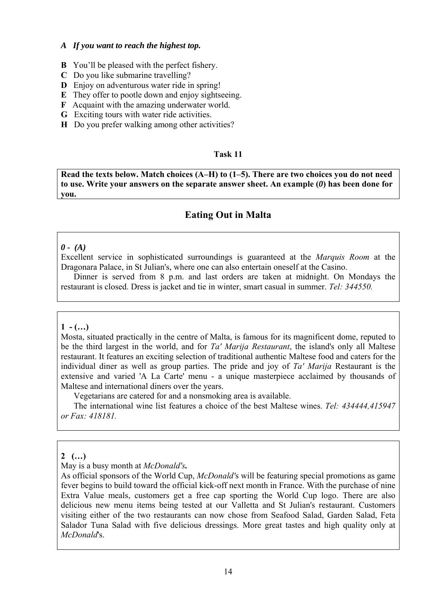### *A If you want to reach the highest top.*

- **B** You'll be pleased with the perfect fishery.
- **C** Do you like submarine travelling?
- **D** Enjoy on adventurous water ride in spring!
- **E** They offer to pootle down and enjoy sightseeing.
- **F** Acquaint with the amazing underwater world.
- **G** Exciting tours with water ride activities.
- **H** Do you prefer walking among other activities?

## **Task 11**

**Read the texts below. Match choices (A–H) to (1–5). There are two choices you do not need to use. Write your answers on the separate answer sheet. An example (***0***) has been done for you.** 

# **Eating Out in Malta**

## *0 - (A)*

Excellent service in sophisticated surroundings is guaranteed at the *Marquis Room* at the Dragonara Palace, in St Julian's, where one can also entertain oneself at the Casino.

Dinner is served from 8 p.m. and last orders are taken at midnight. On Mondays the restaurant is closed. Dress is jacket and tie in winter, smart casual in summer. *Tel: 344550.*

## $1 - (\ldots)$

Mosta, situated practically in the centre of Malta, is famous for its magnificent dome, reputed to be the third largest in the world, and for *Ta' Marija Restaurant*, the island's only all Maltese restaurant. It features an exciting selection of traditional authentic Maltese food and caters for the individual diner as well as group parties. The pride and joy of *Ta' Marija* Restaurant is the extensive and varied 'A La Carte' menu - a unique masterpiece acclaimed by thousands of Maltese and international diners over the years.

Vegetarians are catered for and a nonsmoking area is available.

The international wine list features a choice of the best Maltese wines. *Tel: 434444,415947 or Fax: 418181.* 

## **2 (…)**

May is a busy month at *McDonald's.*

As official sponsors of the World Cup, *McDonald'*s will be featuring special promotions as game fever begins to build toward the official kick-off next month in France. With the purchase of nine Extra Value meals, customers get a free cap sporting the World Cup logo. There are also delicious new menu items being tested at our Valletta and St Julian's restaurant. Customers visiting either of the two restaurants can now chose from Seafood Salad, Garden Salad, Feta Salador Tuna Salad with five delicious dressings. More great tastes and high quality only at *McDonald*'s.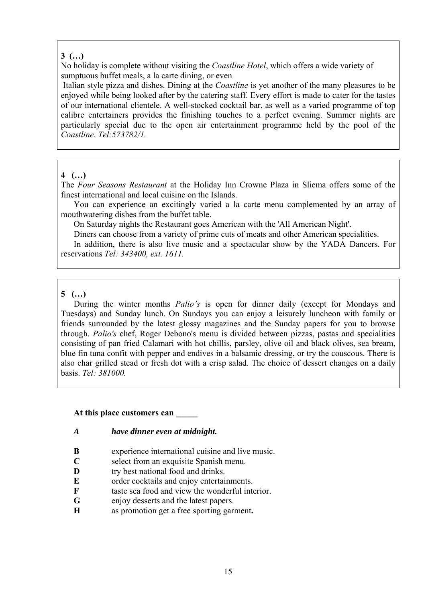## **3 (…)**

No holiday is complete without visiting the *Coastline Hotel*, which offers a wide variety of sumptuous buffet meals, a la carte dining, or even

 Italian style pizza and dishes. Dining at the *Coastline* is yet another of the many pleasures to be enjoyed while being looked after by the catering staff. Every effort is made to cater for the tastes of our international clientele. A well-stocked cocktail bar, as well as a varied programme of top calibre entertainers provides the finishing touches to a perfect evening. Summer nights are particularly special due to the open air entertainment programme held by the pool of the *Coastline*. *Tel:573782/1.*

## **4 (…)**

The *Four Seasons Restaurant* at the Holiday Inn Crowne Plaza in Sliema offers some of the finest international and local cuisine on the Islands.

You can experience an excitingly varied a la carte menu complemented by an array of mouthwatering dishes from the buffet table.

On Saturday nights the Restaurant goes American with the 'All American Night'.

Diners can choose from a variety of prime cuts of meats and other American specialities. In addition, there is also live music and a spectacular show by the YADA Dancers. For reservations *Tel: 343400, ext. 1611.*

## **5 (…)**

During the winter months *Palio's* is open for dinner daily (except for Mondays and Tuesdays) and Sunday lunch. On Sundays you can enjoy a leisurely luncheon with family or friends surrounded by the latest glossy magazines and the Sunday papers for you to browse through. *Palio's* chef, Roger Debono's menu is divided between pizzas, pastas and specialities consisting of pan fried Calamari with hot chillis, parsley, olive oil and black olives, sea bream, blue fin tuna confit with pepper and endives in a balsamic dressing, or try the couscous. There is also char grilled stead or fresh dot with a crisp salad. The choice of dessert changes on a daily basis. *Tel: 381000.* 

## **At this place customers can \_\_\_\_\_**

## *A have dinner even at midnight.*

- **B** experience international cuisine and live music.
- **C** select from an exquisite Spanish menu.
- **D try** best national food and drinks.
- **E** order cocktails and enjoy entertainments.
- **F** taste sea food and view the wonderful interior.
- **G** enjoy desserts and the latest papers.
- **H** as promotion get a free sporting garment**.**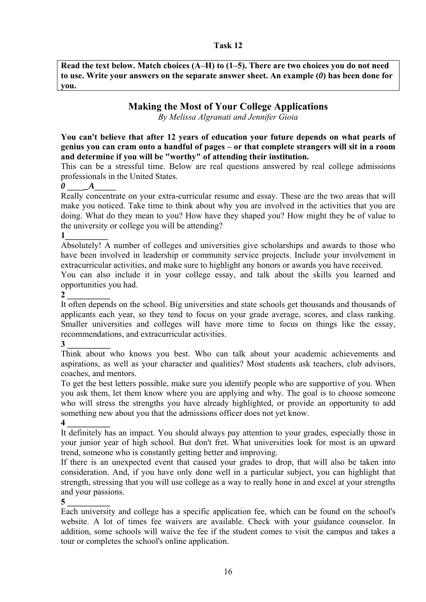**Read the text below. Match choices (A–H) to (1–5). There are two choices you do not need to use. Write your answers on the separate answer sheet. An example (***0***) has been done for you.** 

# **Making the Most of Your College Applications**

*By Melissa Algranati and Jennifer Gioia* 

**You can't believe that after 12 years of education your future depends on what pearls of genius you can cram onto a handful of pages – or that complete strangers will sit in a room and determine if you will be "worthy" of attending their institution.** 

This can be a stressful time. Below are real questions answered by real college admissions professionals in the United States.

*0* **\_\_\_\_***\_A***\_\_\_\_\_**

Really concentrate on your extra-curricular resume and essay. These are the two areas that will make you noticed. Take time to think about why you are involved in the activities that you are doing. What do they mean to you? How have they shaped you? How might they be of value to the university or college you will be attending?

 $\mathbf{1}$ 

Absolutely! A number of colleges and universities give scholarships and awards to those who have been involved in leadership or community service projects. Include your involvement in extracurricular activities, and make sure to highlight any honors or awards you have received.

You can also include it in your college essay, and talk about the skills you learned and opportunities you had.

 $2<sup>1</sup>$ 

It often depends on the school. Big universities and state schools get thousands and thousands of applicants each year, so they tend to focus on your grade average, scores, and class ranking. Smaller universities and colleges will have more time to focus on things like the essay, recommendations, and extracurricular activities.

**3 \_\_\_\_\_\_\_\_\_\_** 

Think about who knows you best. Who can talk about your academic achievements and aspirations, as well as your character and qualities? Most students ask teachers, club advisors, coaches, and mentors.

To get the best letters possible, make sure you identify people who are supportive of you. When you ask them, let them know where you are applying and why. The goal is to choose someone who will stress the strengths you have already highlighted, or provide an opportunity to add something new about you that the admissions officer does not yet know. **4 \_\_\_\_\_\_\_\_\_\_** 

It definitely has an impact. You should always pay attention to your grades, especially those in your junior year of high school. But don't fret. What universities look for most is an upward trend, someone who is constantly getting better and improving.

If there is an unexpected event that caused your grades to drop, that will also be taken into consideration. And, if you have only done well in a particular subject, you can highlight that strength, stressing that you will use college as a way to really hone in and excel at your strengths and your passions.

**5 \_\_\_\_\_\_\_\_\_\_** 

Each university and college has a specific application fee, which can be found on the school's website. A lot of times fee waivers are available. Check with your guidance counselor. In addition, some schools will waive the fee if the student comes to visit the campus and takes a tour or completes the school's online application.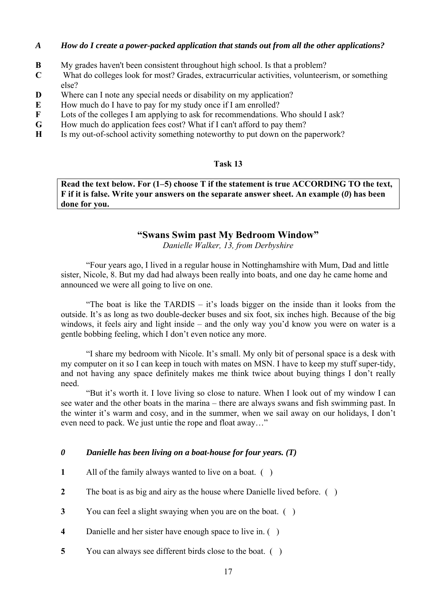## *A How do I create a power-packed application that stands out from all the other applications?*

- **B** My grades haven't been consistent throughout high school. Is that a problem?
- **C** What do colleges look for most? Grades, extracurricular activities, volunteerism, or something else?
- **D** Where can I note any special needs or disability on my application?
- **E** How much do I have to pay for my study once if I am enrolled?
- **F** Lots of the colleges I am applying to ask for recommendations. Who should I ask?
- **G** How much do application fees cost? What if I can't afford to pay them?
- **H** Is my out-of-school activity something noteworthy to put down on the paperwork?

### **Task 13**

**Read the text below. For (1–5) choose T if the statement is true ACCORDING TO the text, F if it is false. Write your answers on the separate answer sheet. An example (***0***) has been done for you.** 

# **"Swans Swim past My Bedroom Window"**

*Danielle Walker, 13, from Derbyshire* 

"Four years ago, I lived in a regular house in Nottinghamshire with Mum, Dad and little sister, Nicole, 8. But my dad had always been really into boats, and one day he came home and announced we were all going to live on one.

"The boat is like the TARDIS – it's loads bigger on the inside than it looks from the outside. It's as long as two double-decker buses and six foot, six inches high. Because of the big windows, it feels airy and light inside – and the only way you'd know you were on water is a gentle bobbing feeling, which I don't even notice any more.

"I share my bedroom with Nicole. It's small. My only bit of personal space is a desk with my computer on it so I can keep in touch with mates on MSN. I have to keep my stuff super-tidy, and not having any space definitely makes me think twice about buying things I don't really need.

"But it's worth it. I love living so close to nature. When I look out of my window I can see water and the other boats in the marina – there are always swans and fish swimming past. In the winter it's warm and cosy, and in the summer, when we sail away on our holidays, I don't even need to pack. We just untie the rope and float away…"

#### *0 Danielle has been living on a boat-house for four years. (T)*

- **1** All of the family always wanted to live on a boat. ( )
- **2** The boat is as big and airy as the house where Danielle lived before. ( )
- **3** You can feel a slight swaying when you are on the boat. ( )
- **4** Danielle and her sister have enough space to live in. ( )
- **5** You can always see different birds close to the boat. ( )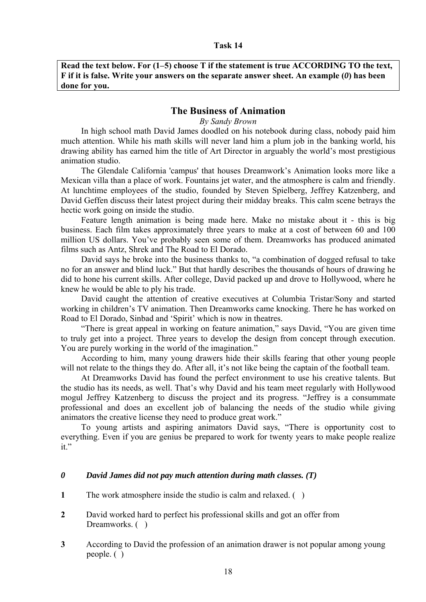**Read the text below. For (1–5) choose T if the statement is true ACCORDING TO the text, F if it is false. Write your answers on the separate answer sheet. An example (***0***) has been done for you.** 

### **The Business of Animation**

*By Sandy Brown* 

In high school math David James doodled on his notebook during class, nobody paid him much attention. While his math skills will never land him a plum job in the banking world, his drawing ability has earned him the title of Art Director in arguably the world's most prestigious animation studio.

The Glendale California 'campus' that houses Dreamwork's Animation looks more like a Mexican villa than a place of work. Fountains jet water, and the atmosphere is calm and friendly. At lunchtime employees of the studio, founded by Steven Spielberg, Jeffrey Katzenberg, and David Geffen discuss their latest project during their midday breaks. This calm scene betrays the hectic work going on inside the studio.

Feature length animation is being made here. Make no mistake about it - this is big business. Each film takes approximately three years to make at a cost of between 60 and 100 million US dollars. You've probably seen some of them. Dreamworks has produced animated films such as Antz, Shrek and The Road to El Dorado.

David says he broke into the business thanks to, "a combination of dogged refusal to take no for an answer and blind luck." But that hardly describes the thousands of hours of drawing he did to hone his current skills. After college, David packed up and drove to Hollywood, where he knew he would be able to ply his trade.

David caught the attention of creative executives at Columbia Tristar/Sony and started working in children's TV animation. Then Dreamworks came knocking. There he has worked on Road to El Dorado, Sinbad and 'Spirit' which is now in theatres.

"There is great appeal in working on feature animation," says David, "You are given time to truly get into a project. Three years to develop the design from concept through execution. You are purely working in the world of the imagination."

According to him, many young drawers hide their skills fearing that other young people will not relate to the things they do. After all, it's not like being the captain of the football team.

At Dreamworks David has found the perfect environment to use his creative talents. But the studio has its needs, as well. That's why David and his team meet regularly with Hollywood mogul Jeffrey Katzenberg to discuss the project and its progress. "Jeffrey is a consummate professional and does an excellent job of balancing the needs of the studio while giving animators the creative license they need to produce great work."

To young artists and aspiring animators David says, "There is opportunity cost to everything. Even if you are genius be prepared to work for twenty years to make people realize it."

#### *0 David James did not pay much attention during math classes. (T)*

- **1** The work atmosphere inside the studio is calm and relaxed. ( )
- **2** David worked hard to perfect his professional skills and got an offer from Dreamworks. ()
- **3** According to David the profession of an animation drawer is not popular among young people. ( )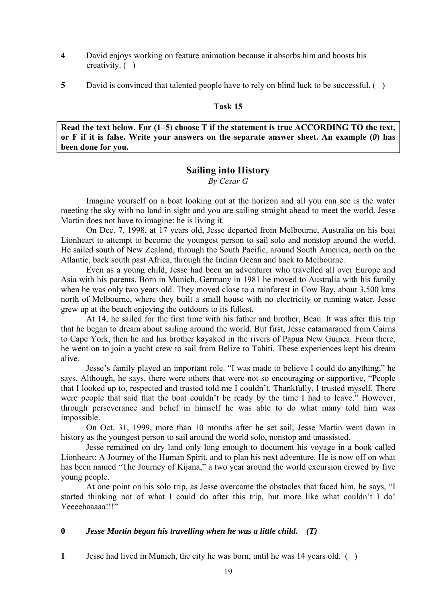- **4** David enjoys working on feature animation because it absorbs him and boosts his creativity. ( )
- **5** David is convinced that talented people have to rely on blind luck to be successful. ( )

**Read the text below. For (1–5) choose T if the statement is true ACCORDING TO the text, or F if it is false. Write your answers on the separate answer sheet. An example (***0***) has been done for you.**

# **Sailing into History**

*By Cesar G*

Imagine yourself on a boat looking out at the horizon and all you can see is the water meeting the sky with no land in sight and you are sailing straight ahead to meet the world. Jesse Martin does not have to imagine: he is living it.

On Dec. 7, 1998, at 17 years old, Jesse departed from Melbourne, Australia on his boat Lionheart to attempt to become the youngest person to sail solo and nonstop around the world. He sailed south of New Zealand, through the South Pacific, around South America, north on the Atlantic, back south past Africa, through the Indian Ocean and back to Melbourne.

Even as a young child, Jesse had been an adventurer who travelled all over Europe and Asia with his parents. Born in Munich, Germany in 1981 he moved to Australia with his family when he was only two years old. They moved close to a rainforest in Cow Bay, about 3,500 kms north of Melbourne, where they built a small house with no electricity or running water. Jesse grew up at the beach enjoying the outdoors to its fullest.

At 14, he sailed for the first time with his father and brother, Beau. It was after this trip that he began to dream about sailing around the world. But first, Jesse catamaraned from Cairns to Cape York, then he and his brother kayaked in the rivers of Papua New Guinea. From there, he went on to join a yacht crew to sail from Belize to Tahiti. These experiences kept his dream alive.

Jesse's family played an important role. "I was made to believe I could do anything," he says. Although, he says, there were others that were not so encouraging or supportive, "People that I looked up to, respected and trusted told me I couldn't. Thankfully, I trusted myself. There were people that said that the boat couldn't be ready by the time I had to leave." However, through perseverance and belief in himself he was able to do what many told him was impossible.

On Oct. 31, 1999, more than 10 months after he set sail, Jesse Martin went down in history as the youngest person to sail around the world solo, nonstop and unassisted.

Jesse remained on dry land only long enough to document his voyage in a book called Lionheart: A Journey of the Human Spirit, and to plan his next adventure. He is now off on what has been named "The Journey of Kijana," a two year around the world excursion crewed by five young people.

At one point on his solo trip, as Jesse overcame the obstacles that faced him, he says, "I started thinking not of what I could do after this trip, but more like what couldn't I do! Yeeeehaaaaaa!!!"

## **0** *Jesse Martin began his travelling when he was a little child. (T)*

**1** Jesse had lived in Munich, the city he was born, until he was 14 years old. ( )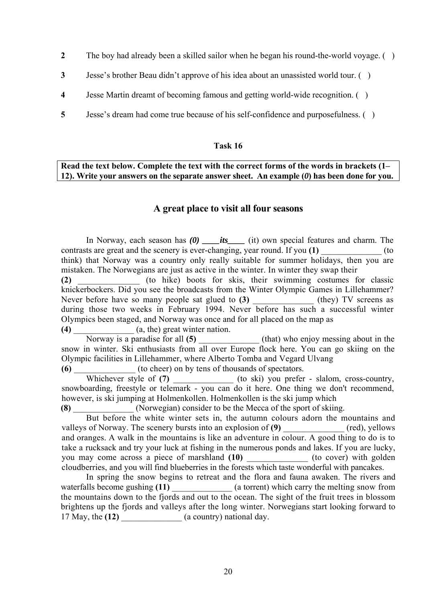- **2** The boy had already been a skilled sailor when he began his round-the-world voyage. ( )
- **3** Jesse's brother Beau didn't approve of his idea about an unassisted world tour. ( )
- **4** Jesse Martin dreamt of becoming famous and getting world-wide recognition. ( )
- **5** Jesse's dream had come true because of his self-confidence and purposefulness. ( )

#### **Read the text below. Complete the text with the correct forms of the words in brackets (1– 12). Write your answers on the separate answer sheet. An example (***0***) has been done for you.**

### **A great place to visit all four seasons**

In Norway, each season has *(0) \_\_\_\_its\_\_\_\_* (it) own special features and charm. The contrasts are great and the scenery is ever-changing, year round. If you (1) think) that Norway was a country only really suitable for summer holidays, then you are mistaken. The Norwegians are just as active in the winter. In winter they swap their **(2)** \_\_\_\_\_\_\_\_\_\_\_\_\_\_ (to hike) boots for skis, their swimming costumes for classic knickerbockers. Did you see the broadcasts from the Winter Olympic Games in Lillehammer? Never before have so many people sat glued to (3) (they) TV screens as during those two weeks in February 1994. Never before has such a successful winter Olympics been staged, and Norway was once and for all placed on the map as **(4)** \_\_\_\_\_\_\_\_\_\_\_\_\_\_ (a, the) great winter nation.

Norway is a paradise for all (5)  $(hat)$  who enjoy messing about in the snow in winter. Ski enthusiasts from all over Europe flock here. You can go skiing on the Olympic facilities in Lillehammer, where Alberto Tomba and Vegard Ulvang

**(6)** \_\_\_\_\_\_\_\_\_\_\_\_\_\_ (to cheer) on by tens of thousands of spectators.

Whichever style of (7) (to ski) you prefer - slalom, cross-country, snowboarding, freestyle or telemark - you can do it here. One thing we don't recommend, however, is ski jumping at Holmenkollen. Holmenkollen is the ski jump which

**(8)** \_\_\_\_\_\_\_\_\_\_\_\_\_\_ (Norwegian) consider to be the Mecca of the sport of skiing.

But before the white winter sets in, the autumn colours adorn the mountains and valleys of Norway. The scenery bursts into an explosion of (9)  $(red)$ , yellows and oranges. A walk in the mountains is like an adventure in colour. A good thing to do is to take a rucksack and try your luck at fishing in the numerous ponds and lakes. If you are lucky, you may come across a piece of marshland **(10)** (to cover) with golden cloudberries, and you will find blueberries in the forests which taste wonderful with pancakes.

In spring the snow begins to retreat and the flora and fauna awaken. The rivers and waterfalls become gushing (11)  $\qquad (a \text{torrent})$  which carry the melting snow from the mountains down to the fjords and out to the ocean. The sight of the fruit trees in blossom brightens up the fjords and valleys after the long winter. Norwegians start looking forward to 17 May, the **(12)** \_\_\_\_\_\_\_\_\_\_\_\_\_\_ (a country) national day.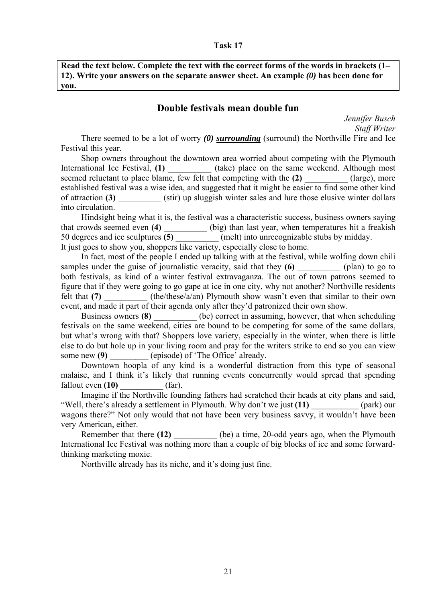**Read the text below. Complete the text with the correct forms of the words in brackets (1– 12). Write your answers on the separate answer sheet. An example** *(0)* **has been done for you.**

# **Double festivals mean double fun**

*Jennifer Busch Staff Writer* 

There seemed to be a lot of worry *(0) surrounding* (surround) the Northville Fire and Ice Festival this year.

Shop owners throughout the downtown area worried about competing with the Plymouth International Ice Festival, **(1)** (take) place on the same weekend. Although most seemed reluctant to place blame, few felt that competing with the (2) (large), more established festival was a wise idea, and suggested that it might be easier to find some other kind of attraction **(3)** (stir) up sluggish winter sales and lure those elusive winter dollars into circulation.

Hindsight being what it is, the festival was a characteristic success, business owners saying that crowds seemed even **(4)**  $\frac{1}{(5)}$  (big) than last year, when temperatures hit a freakish 50 degrees and ice sculptures  $\frac{1}{(5)}$  (melt) into unrecognizable stubs by midday. 50 degrees and ice sculptures **(5)** \_\_\_\_\_\_\_\_\_\_ (melt) into unrecognizable stubs by midday. It just goes to show you, shoppers like variety, especially close to home.

In fact, most of the people I ended up talking with at the festival, while wolfing down chili samples under the guise of journalistic veracity, said that they (6) (plan) to go to both festivals, as kind of a winter festival extravaganza. The out of town patrons seemed to figure that if they were going to go gape at ice in one city, why not another? Northville residents felt that (7) (the/these/a/an) Plymouth show wasn't even that similar to their own event, and made it part of their agenda only after they'd patronized their own show.

Business owners **(8)** (be) correct in assuming, however, that when scheduling festivals on the same weekend, cities are bound to be competing for some of the same dollars, but what's wrong with that? Shoppers love variety, especially in the winter, when there is little else to do but hole up in your living room and pray for the writers strike to end so you can view some new (9)  $\qquad \qquad$  (episode) of 'The Office' already.

Downtown hoopla of any kind is a wonderful distraction from this type of seasonal malaise, and I think it's likely that running events concurrently would spread that spending  $fallout even (10)$   $(far)$ .

Imagine if the Northville founding fathers had scratched their heads at city plans and said, "Well, there's already a settlement in Plymouth. Why don't we just **(11)** \_\_\_\_\_\_\_\_\_\_\_ (park) our wagons there?" Not only would that not have been very business savvy, it wouldn't have been very American, either.

Remember that there (12) (be) a time, 20-odd years ago, when the Plymouth International Ice Festival was nothing more than a couple of big blocks of ice and some forwardthinking marketing moxie.

Northville already has its niche, and it's doing just fine.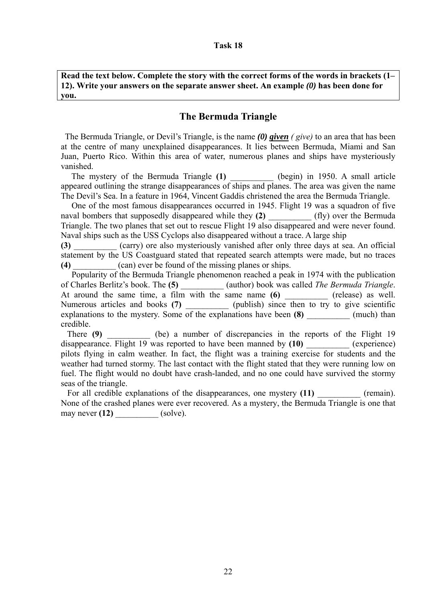**Read the text below. Complete the story with the correct forms of the words in brackets (1– 12). Write your answers on the separate answer sheet. An example** *(0)* **has been done for you.**

# **The Bermuda Triangle**

 The Bermuda Triangle, or Devil's Triangle, is the name *(0) given ( give)* to an area that has been at the centre of many unexplained disappearances. It lies between Bermuda, Miami and San Juan, Puerto Rico. Within this area of water, numerous planes and ships have mysteriously vanished.

The mystery of the Bermuda Triangle (1) (begin) in 1950. A small article appeared outlining the strange disappearances of ships and planes. The area was given the name The Devil's Sea. In a feature in 1964, Vincent Gaddis christened the area the Bermuda Triangle.

 One of the most famous disappearances occurred in 1945. Flight 19 was a squadron of five naval bombers that supposedly disappeared while they (2)  $(fly)$  over the Bermuda Triangle. The two planes that set out to rescue Flight 19 also disappeared and were never found. Naval ships such as the USS Cyclops also disappeared without a trace. A large ship

**(3)** \_\_\_\_\_\_\_\_\_\_ (carry) ore also mysteriously vanished after only three days at sea. An official statement by the US Coastguard stated that repeated search attempts were made, but no traces **(4)**  $(\text{can})$  ever be found of the missing planes or ships.

 Popularity of the Bermuda Triangle phenomenon reached a peak in 1974 with the publication of Charles Berlitz's book. The **(5)** \_\_\_\_\_\_\_\_\_\_ (author) book was called *The Bermuda Triangle*. At around the same time, a film with the same name **(6)** \_\_\_\_\_\_\_\_\_\_ (release) as well. Numerous articles and books (7) \_\_\_\_\_\_\_\_\_\_ (publish) since then to try to give scientific explanations to the mystery. Some of the explanations have been **(8)** \_\_\_\_\_\_\_\_\_ (much) than credible.

There (9) (be) a number of discrepancies in the reports of the Flight 19 disappearance. Flight 19 was reported to have been manned by (10) (experience) pilots flying in calm weather. In fact, the flight was a training exercise for students and the weather had turned stormy. The last contact with the flight stated that they were running low on fuel. The flight would no doubt have crash-landed, and no one could have survived the stormy seas of the triangle.

For all credible explanations of the disappearances, one mystery (11) (remain). None of the crashed planes were ever recovered. As a mystery, the Bermuda Triangle is one that may never **(12)** \_\_\_\_\_\_\_\_\_\_ (solve).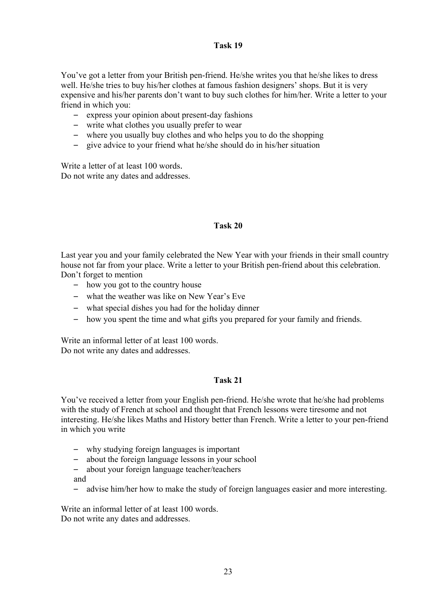You've got a letter from your British pen-friend. He/she writes you that he/she likes to dress well. He/she tries to buy his/her clothes at famous fashion designers' shops. But it is very expensive and his/her parents don't want to buy such clothes for him/her. Write a letter to your friend in which you:

- express your opinion about present-day fashions
- write what clothes you usually prefer to wear
- where you usually buy clothes and who helps you to do the shopping
- give advice to your friend what he/she should do in his/her situation

Write a letter of at least 100 words. Do not write any dates and addresses.

## **Task 20**

Last year you and your family celebrated the New Year with your friends in their small country house not far from your place. Write a letter to your British pen-friend about this celebration. Don't forget to mention

- how you got to the country house
- what the weather was like on New Year's Eve
- what special dishes you had for the holiday dinner
- how you spent the time and what gifts you prepared for your family and friends.

Write an informal letter of at least 100 words. Do not write any dates and addresses.

#### **Task 21**

You've received a letter from your English pen-friend. He/she wrote that he/she had problems with the study of French at school and thought that French lessons were tiresome and not interesting. He/she likes Maths and History better than French. Write a letter to your pen-friend in which you write

- why studying foreign languages is important
- about the foreign language lessons in your school
- about your foreign language teacher/teachers and
- advise him/her how to make the study of foreign languages easier and more interesting.

Write an informal letter of at least 100 words. Do not write any dates and addresses.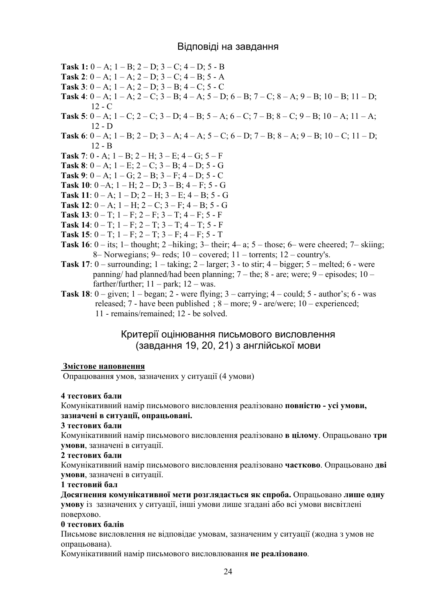## Відповіді на завдання

**Task 1:**  $0 - A$ ;  $1 - B$ ;  $2 - D$ ;  $3 - C$ ;  $4 - D$ ;  $5 - B$ **Task 2**:  $0 - A$ ;  $1 - A$ ;  $2 - D$ ;  $3 - C$ ;  $4 - B$ ;  $5 - A$ **Task 3**:  $0 - A$ ;  $1 - A$ ;  $2 - D$ ;  $3 - B$ ;  $4 - C$ ;  $5 - C$ **Task 4**:  $0 - A$ ;  $1 - A$ ;  $2 - C$ ;  $3 - B$ ;  $4 - A$ ;  $5 - D$ ;  $6 - B$ ;  $7 - C$ ;  $8 - A$ ;  $9 - B$ ;  $10 - B$ ;  $11 - D$ ;  $12 - C$ **Task 5**:  $0 - A$ ;  $1 - C$ ;  $2 - C$ ;  $3 - D$ ;  $4 - B$ ;  $5 - A$ ;  $6 - C$ ;  $7 - B$ ;  $8 - C$ ;  $9 - B$ ;  $10 - A$ ;  $11 - A$ ; 12 - D **Task 6**:  $0 - A$ ;  $1 - B$ ;  $2 - D$ ;  $3 - A$ ;  $4 - A$ ;  $5 - C$ ;  $6 - D$ ;  $7 - B$ ;  $8 - A$ ;  $9 - B$ ;  $10 - C$ ;  $11 - D$ ;  $12 - B$ **Task 7**:  $0 - A$ ;  $1 - B$ ;  $2 - H$ ;  $3 - E$ ;  $4 - G$ ;  $5 - F$ **Task 8**:  $0 - A$ ;  $1 - E$ ;  $2 - C$ ;  $3 - B$ ;  $4 - D$ ;  $5 - G$ **Task 9**:  $0 - A$ ;  $1 - G$ ;  $2 - B$ ;  $3 - F$ ;  $4 - D$ ;  $5 - C$ **Task 10**:  $0 - A$ ;  $1 - H$ ;  $2 - D$ ;  $3 - B$ ;  $4 - F$ ;  $5 - G$ **Task 11**:  $0 - A$ ;  $1 - D$ ;  $2 - H$ ;  $3 - E$ ;  $4 - B$ ;  $5 - G$ **Task 12**:  $0 - A$ ;  $1 - H$ ;  $2 - C$ ;  $3 - F$ ;  $4 - B$ ;  $5 - G$ **Task 13**:  $0 - T$ ;  $1 - F$ ;  $2 - F$ ;  $3 - T$ ;  $4 - F$ ;  $5 - F$ **Task 14**:  $0 - T$ ;  $1 - F$ ;  $2 - T$ ;  $3 - T$ ;  $4 - T$ ;  $5 - F$ **Task 15**:  $0 - T$ ;  $1 - F$ ;  $2 - T$ ;  $3 - F$ ;  $4 - F$ ;  $5 - T$ **Task 16**:  $0 -$  its; 1– thought; 2 –hiking; 3– their; 4– a; 5 – those; 6– were cheered; 7– skiing; 8– Norwegians; 9– reds; 10 – covered; 11 – torrents; 12 – country's. **Task 17**:  $0$  – surrounding;  $1$  – taking;  $2$  – larger;  $3$  - to stir;  $4$  – bigger;  $5$  – melted;  $6$  - were panning/ had planned/had been planning; 7 – the; 8 - are; were; 9 – episodes; 10 – farther/further;  $11 - \text{park}$ ;  $12 - \text{was}$ . **Task 18**:  $0 -$  given;  $1 -$  began;  $2 -$  were flying;  $3 -$  carrying;  $4 -$  could;  $5 -$  author's;  $6 -$  was

 released; 7 - have been published ; 8 – more; 9 - are/were; 10 – experienced; 11 - remains/remained; 12 - be solved.

# Критерії оцінювання письмового висловлення (завдання 19, 20, 21) з англійської мови

#### **Змістове наповнення**

Опрацювання умов, зазначених у ситуації (4 умови)

## **4 тестових бали**

Комунікативний намір письмового висловлення реалізовано **повністю - усі умови, зазначені в ситуації, опрацьовані.** 

#### **3 тестових бали**

Комунікативний намір письмового висловлення реалізовано **в цілому**. Опрацьовано **три умови**, зазначені в ситуації.

#### **2 тестових бали**

Комунікативний намір письмового висловлення реалізовано **частково**. Опрацьовано **дві умови**, зазначені в ситуації.

#### **1 тестовий бал**

**Досягнення комунікативної мети розглядається як спроба.** Опрацьовано **лише одну умову** із зазначених у ситуації, інші умови лише згадані або всі умови висвітлені поверхово.

#### **0 тестових балів**

Письмове висловлення не відповідає умовам, зазначеним у ситуації (жодна з умов не опрацьована).

Комунікативний намір письмового висловлювання **не реалізовано**.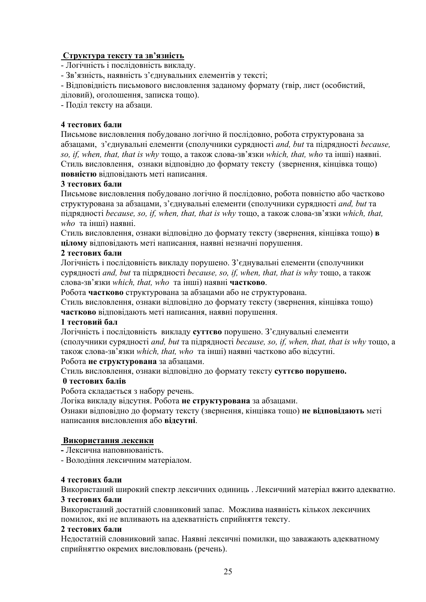### **Структура тексту та зв'язність**

- Логічність і послідовність викладу.

- Зв'язність, наявність з'єднувальних елементів у тексті;

- Відповідність письмового висловлення заданому формату (твір, лист (особистий,

діловий), оголошення, записка тощо).

- Поділ тексту на абзаци.

### **4 тестових бали**

Письмове висловлення побудовано логічно й послідовно, робота структурована за абзацами, з'єднувальні елементи (сполучники сурядності *and, but* та підрядності *because, so, if, when, that, that is why* тощо, а також слова-зв'язки *which, that, who* та інші) наявні. Стиль висловлення, ознаки відповідно до формату тексту (звернення, кінцівка тощо) **повністю** відповідають меті написання.

### **3 тестових бали**

Письмове висловлення побудовано логічно й послідовно, робота повністю або частково структурована за абзацами, з'єднувальні елементи (сполучники сурядності *and, but* та підрядності *because, so, if, when, that, that is why* тощо, а також слова-зв'язки *which, that, who* та інші) наявні.

Стиль висловлення, ознаки відповідно до формату тексту (звернення, кінцівка тощо) **в цілому** відповідають меті написання, наявні незначні порушення.

### **2 тестових бали**

Логічність і послідовність викладу порушено. З'єднувальні елементи (сполучники сурядності *and, but* та підрядності *because, so, if, when, that, that is why* тощо, а також слова-зв'язки *which, that, who* та інші) наявні **частково**.

Робота **частково** структурована за абзацами або не структурована.

Стиль висловлення, ознаки відповідно до формату тексту (звернення, кінцівка тощо) **частково** відповідають меті написання, наявні порушення.

#### **1 тестовий бал**

Логічність і послідовність викладу **суттєво** порушено. З'єднувальні елементи (сполучники сурядності *and, but* та підрядності *because, so, if, when, that, that is why* тощо, а також слова-зв'язки *which, that, who* та інші) наявні частково або відсутні.

## Робота **не структурована** за абзацами.

Стиль висловлення, ознаки відповідно до формату тексту **суттєво порушено.**

#### **0 тестових балів**

Робота складається з набору речень.

Логіка викладу відсутня. Робота **не структурована** за абзацами.

Ознаки відповідно до формату тексту (звернення, кінцівка тощо) **не відповідають** меті написання висловлення або **відсутні**.

#### **Використання лексики**

**-** Лексична наповнюваність.

- Володіння лексичним матеріалом.

#### **4 тестових бали**

Використаний широкий спектр лексичних одиниць . Лексичний матеріал вжито адекватно. **3 тестових бали**

Використаний достатній словниковий запас. Можлива наявність кількох лексичних помилок, які не впливають на адекватність сприйняття тексту.

#### **2 тестових бали**

Недостатній словниковий запас. Наявні лексичні помилки, що заважають адекватному сприйняттю окремих висловлювань (речень).